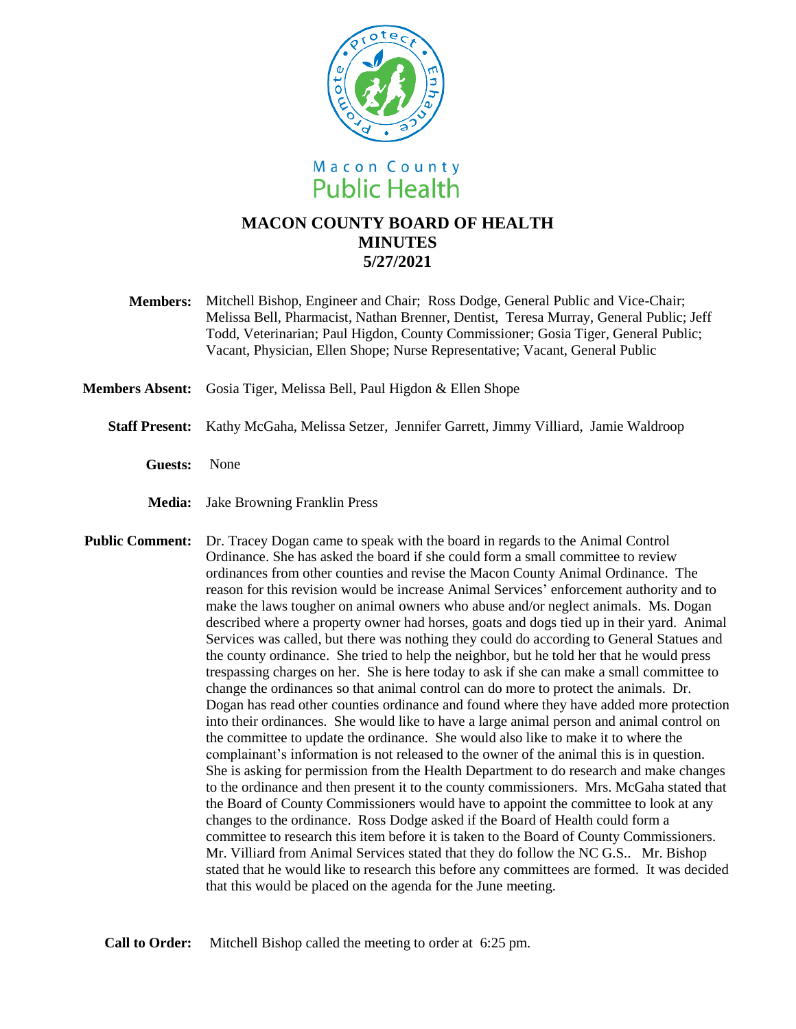

## **MACON COUNTY BOARD OF HEALTH MINUTES 5/27/2021**

**Members:** Mitchell Bishop, Engineer and Chair; Ross Dodge, General Public and Vice-Chair; Melissa Bell, Pharmacist, Nathan Brenner, Dentist, Teresa Murray, General Public; Jeff Todd, Veterinarian; Paul Higdon, County Commissioner; Gosia Tiger, General Public; Vacant, Physician, Ellen Shope; Nurse Representative; Vacant, General Public

**Members Absent:** Gosia Tiger, Melissa Bell, Paul Higdon & Ellen Shope

- **Staff Present:** Kathy McGaha, Melissa Setzer, Jennifer Garrett, Jimmy Villiard, Jamie Waldroop
	- **Guests:** None
	- **Media:** Jake Browning Franklin Press

**Public Comment:** Dr. Tracey Dogan came to speak with the board in regards to the Animal Control Ordinance. She has asked the board if she could form a small committee to review ordinances from other counties and revise the Macon County Animal Ordinance. The reason for this revision would be increase Animal Services' enforcement authority and to make the laws tougher on animal owners who abuse and/or neglect animals. Ms. Dogan described where a property owner had horses, goats and dogs tied up in their yard. Animal Services was called, but there was nothing they could do according to General Statues and the county ordinance. She tried to help the neighbor, but he told her that he would press trespassing charges on her. She is here today to ask if she can make a small committee to change the ordinances so that animal control can do more to protect the animals. Dr. Dogan has read other counties ordinance and found where they have added more protection into their ordinances. She would like to have a large animal person and animal control on the committee to update the ordinance. She would also like to make it to where the complainant's information is not released to the owner of the animal this is in question. She is asking for permission from the Health Department to do research and make changes to the ordinance and then present it to the county commissioners. Mrs. McGaha stated that the Board of County Commissioners would have to appoint the committee to look at any changes to the ordinance. Ross Dodge asked if the Board of Health could form a committee to research this item before it is taken to the Board of County Commissioners. Mr. Villiard from Animal Services stated that they do follow the NC G.S.. Mr. Bishop stated that he would like to research this before any committees are formed. It was decided that this would be placed on the agenda for the June meeting.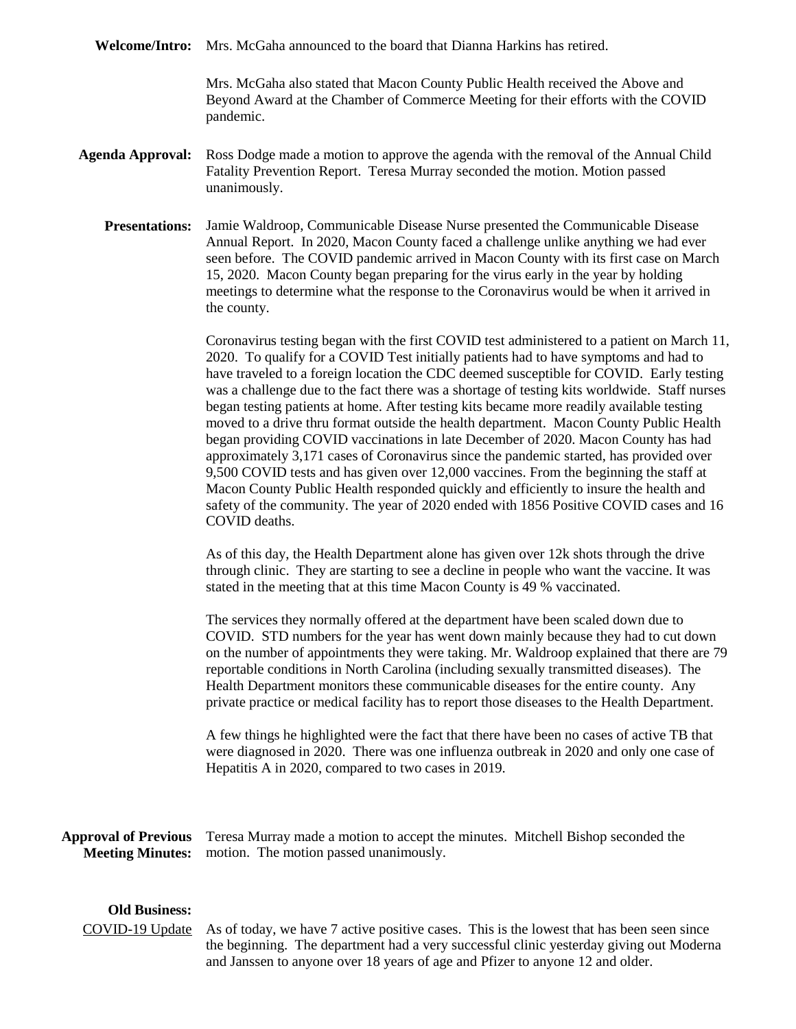**Welcome/Intro:** Mrs. McGaha announced to the board that Dianna Harkins has retired.

Mrs. McGaha also stated that Macon County Public Health received the Above and Beyond Award at the Chamber of Commerce Meeting for their efforts with the COVID pandemic.

- **Agenda Approval:** Ross Dodge made a motion to approve the agenda with the removal of the Annual Child Fatality Prevention Report. Teresa Murray seconded the motion. Motion passed unanimously.
	- **Presentations:** Jamie Waldroop, Communicable Disease Nurse presented the Communicable Disease Annual Report. In 2020, Macon County faced a challenge unlike anything we had ever seen before. The COVID pandemic arrived in Macon County with its first case on March 15, 2020. Macon County began preparing for the virus early in the year by holding meetings to determine what the response to the Coronavirus would be when it arrived in the county.

Coronavirus testing began with the first COVID test administered to a patient on March 11, 2020. To qualify for a COVID Test initially patients had to have symptoms and had to have traveled to a foreign location the CDC deemed susceptible for COVID. Early testing was a challenge due to the fact there was a shortage of testing kits worldwide. Staff nurses began testing patients at home. After testing kits became more readily available testing moved to a drive thru format outside the health department. Macon County Public Health began providing COVID vaccinations in late December of 2020. Macon County has had approximately 3,171 cases of Coronavirus since the pandemic started, has provided over 9,500 COVID tests and has given over 12,000 vaccines. From the beginning the staff at Macon County Public Health responded quickly and efficiently to insure the health and safety of the community. The year of 2020 ended with 1856 Positive COVID cases and 16 COVID deaths.

As of this day, the Health Department alone has given over 12k shots through the drive through clinic. They are starting to see a decline in people who want the vaccine. It was stated in the meeting that at this time Macon County is 49 % vaccinated.

The services they normally offered at the department have been scaled down due to COVID. STD numbers for the year has went down mainly because they had to cut down on the number of appointments they were taking. Mr. Waldroop explained that there are 79 reportable conditions in North Carolina (including sexually transmitted diseases). The Health Department monitors these communicable diseases for the entire county. Any private practice or medical facility has to report those diseases to the Health Department.

A few things he highlighted were the fact that there have been no cases of active TB that were diagnosed in 2020. There was one influenza outbreak in 2020 and only one case of Hepatitis A in 2020, compared to two cases in 2019.

**Approval of Previous**  Teresa Murray made a motion to accept the minutes. Mitchell Bishop seconded the **Meeting Minutes:** motion. The motion passed unanimously.

## **Old Business:**

COVID-19 Update As of today, we have 7 active positive cases. This is the lowest that has been seen since the beginning. The department had a very successful clinic yesterday giving out Moderna and Janssen to anyone over 18 years of age and Pfizer to anyone 12 and older.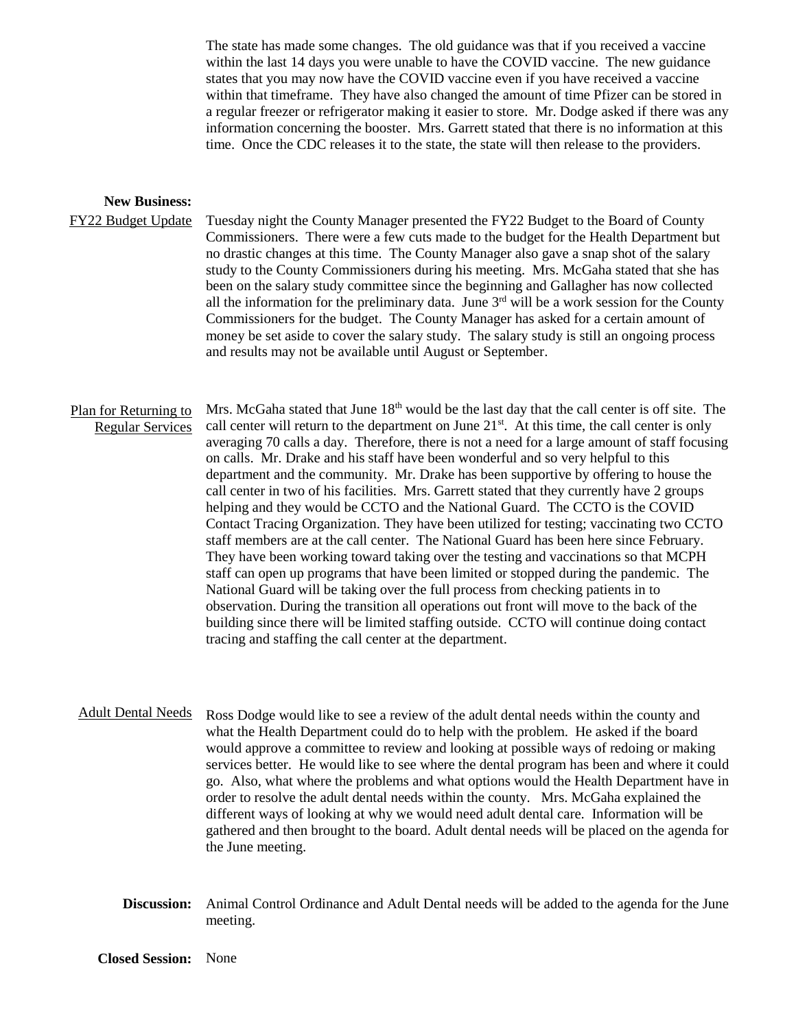The state has made some changes. The old guidance was that if you received a vaccine within the last 14 days you were unable to have the COVID vaccine. The new guidance states that you may now have the COVID vaccine even if you have received a vaccine within that timeframe. They have also changed the amount of time Pfizer can be stored in a regular freezer or refrigerator making it easier to store. Mr. Dodge asked if there was any information concerning the booster. Mrs. Garrett stated that there is no information at this time. Once the CDC releases it to the state, the state will then release to the providers.

## **New Business:**

FY22 Budget Update Tuesday night the County Manager presented the FY22 Budget to the Board of County Commissioners. There were a few cuts made to the budget for the Health Department but no drastic changes at this time. The County Manager also gave a snap shot of the salary study to the County Commissioners during his meeting. Mrs. McGaha stated that she has been on the salary study committee since the beginning and Gallagher has now collected all the information for the preliminary data. June  $3<sup>rd</sup>$  will be a work session for the County Commissioners for the budget. The County Manager has asked for a certain amount of money be set aside to cover the salary study. The salary study is still an ongoing process and results may not be available until August or September.

Plan for Returning to Regular Services Mrs. McGaha stated that June  $18<sup>th</sup>$  would be the last day that the call center is off site. The call center will return to the department on June  $21<sup>st</sup>$ . At this time, the call center is only averaging 70 calls a day. Therefore, there is not a need for a large amount of staff focusing on calls. Mr. Drake and his staff have been wonderful and so very helpful to this department and the community. Mr. Drake has been supportive by offering to house the call center in two of his facilities. Mrs. Garrett stated that they currently have 2 groups helping and they would be CCTO and the National Guard. The CCTO is the COVID Contact Tracing Organization. They have been utilized for testing; vaccinating two CCTO staff members are at the call center. The National Guard has been here since February. They have been working toward taking over the testing and vaccinations so that MCPH staff can open up programs that have been limited or stopped during the pandemic. The National Guard will be taking over the full process from checking patients in to observation. During the transition all operations out front will move to the back of the building since there will be limited staffing outside. CCTO will continue doing contact tracing and staffing the call center at the department.

Adult Dental Needs Ross Dodge would like to see a review of the adult dental needs within the county and what the Health Department could do to help with the problem. He asked if the board would approve a committee to review and looking at possible ways of redoing or making services better. He would like to see where the dental program has been and where it could go. Also, what where the problems and what options would the Health Department have in order to resolve the adult dental needs within the county. Mrs. McGaha explained the different ways of looking at why we would need adult dental care. Information will be gathered and then brought to the board. Adult dental needs will be placed on the agenda for the June meeting.

**Discussion:** Animal Control Ordinance and Adult Dental needs will be added to the agenda for the June meeting.